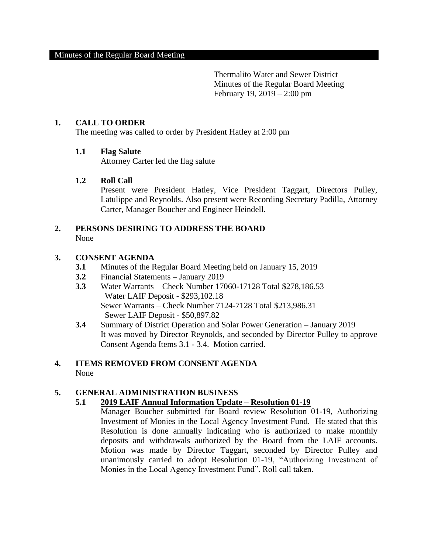### **1. CALL TO ORDER**

The meeting was called to order by President Hatley at 2:00 pm

### **1.1 Flag Salute**

Attorney Carter led the flag salute

#### **1.2 Roll Call**

Present were President Hatley, Vice President Taggart, Directors Pulley, Latulippe and Reynolds. Also present were Recording Secretary Padilla, Attorney Carter, Manager Boucher and Engineer Heindell.

# **2. PERSONS DESIRING TO ADDRESS THE BOARD** None

### **3. CONSENT AGENDA**

- **3.1** Minutes of the Regular Board Meeting held on January 15, 2019
- **3.2** Financial Statements January 2019
- **3.3** Water Warrants Check Number 17060-17128 Total \$278,186.53 Water LAIF Deposit - \$293,102.18 Sewer Warrants – Check Number 7124-7128 Total \$213,986.31 Sewer LAIF Deposit - \$50,897.82
- **3.4** Summary of District Operation and Solar Power Generation January 2019 It was moved by Director Reynolds, and seconded by Director Pulley to approve Consent Agenda Items 3.1 - 3.4. Motion carried.

#### **4. ITEMS REMOVED FROM CONSENT AGENDA**  None

# **5. GENERAL ADMINISTRATION BUSINESS**

### **5.1 2019 LAIF Annual Information Update – Resolution 01-19**

Manager Boucher submitted for Board review Resolution 01-19, Authorizing Investment of Monies in the Local Agency Investment Fund. He stated that this Resolution is done annually indicating who is authorized to make monthly deposits and withdrawals authorized by the Board from the LAIF accounts. Motion was made by Director Taggart, seconded by Director Pulley and unanimously carried to adopt Resolution 01-19, "Authorizing Investment of Monies in the Local Agency Investment Fund". Roll call taken.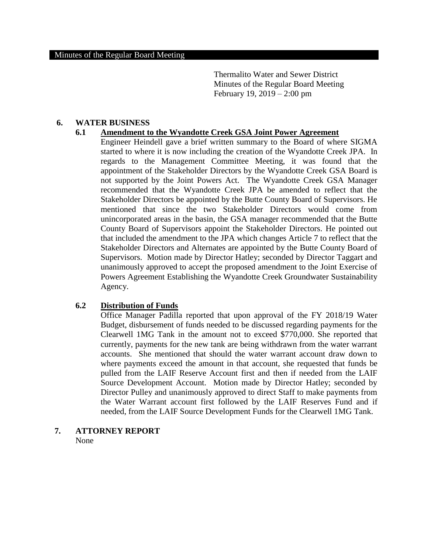### **6. WATER BUSINESS**

#### **6.1 Amendment to the Wyandotte Creek GSA Joint Power Agreement**

Engineer Heindell gave a brief written summary to the Board of where SIGMA started to where it is now including the creation of the Wyandotte Creek JPA. In regards to the Management Committee Meeting, it was found that the appointment of the Stakeholder Directors by the Wyandotte Creek GSA Board is not supported by the Joint Powers Act. The Wyandotte Creek GSA Manager recommended that the Wyandotte Creek JPA be amended to reflect that the Stakeholder Directors be appointed by the Butte County Board of Supervisors. He mentioned that since the two Stakeholder Directors would come from unincorporated areas in the basin, the GSA manager recommended that the Butte County Board of Supervisors appoint the Stakeholder Directors. He pointed out that included the amendment to the JPA which changes Article 7 to reflect that the Stakeholder Directors and Alternates are appointed by the Butte County Board of Supervisors. Motion made by Director Hatley; seconded by Director Taggart and unanimously approved to accept the proposed amendment to the Joint Exercise of Powers Agreement Establishing the Wyandotte Creek Groundwater Sustainability Agency.

### **6.2 Distribution of Funds**

Office Manager Padilla reported that upon approval of the FY 2018/19 Water Budget, disbursement of funds needed to be discussed regarding payments for the Clearwell 1MG Tank in the amount not to exceed \$770,000. She reported that currently, payments for the new tank are being withdrawn from the water warrant accounts. She mentioned that should the water warrant account draw down to where payments exceed the amount in that account, she requested that funds be pulled from the LAIF Reserve Account first and then if needed from the LAIF Source Development Account. Motion made by Director Hatley; seconded by Director Pulley and unanimously approved to direct Staff to make payments from the Water Warrant account first followed by the LAIF Reserves Fund and if needed, from the LAIF Source Development Funds for the Clearwell 1MG Tank.

# **7. ATTORNEY REPORT**

None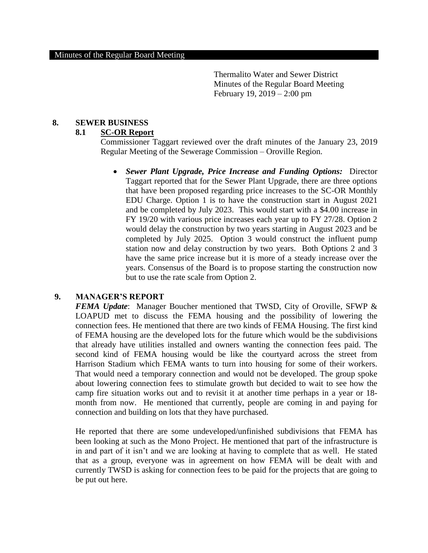#### **8. SEWER BUSINESS**

# **8.1 SC-OR Report**

Commissioner Taggart reviewed over the draft minutes of the January 23, 2019 Regular Meeting of the Sewerage Commission – Oroville Region.

 *Sewer Plant Upgrade, Price Increase and Funding Options:* Director Taggart reported that for the Sewer Plant Upgrade, there are three options that have been proposed regarding price increases to the SC-OR Monthly EDU Charge. Option 1 is to have the construction start in August 2021 and be completed by July 2023. This would start with a \$4.00 increase in FY 19/20 with various price increases each year up to FY 27/28. Option 2 would delay the construction by two years starting in August 2023 and be completed by July 2025. Option 3 would construct the influent pump station now and delay construction by two years. Both Options 2 and 3 have the same price increase but it is more of a steady increase over the years. Consensus of the Board is to propose starting the construction now but to use the rate scale from Option 2.

### **9. MANAGER'S REPORT**

*FEMA Update*: Manager Boucher mentioned that TWSD, City of Oroville, SFWP & LOAPUD met to discuss the FEMA housing and the possibility of lowering the connection fees. He mentioned that there are two kinds of FEMA Housing. The first kind of FEMA housing are the developed lots for the future which would be the subdivisions that already have utilities installed and owners wanting the connection fees paid. The second kind of FEMA housing would be like the courtyard across the street from Harrison Stadium which FEMA wants to turn into housing for some of their workers. That would need a temporary connection and would not be developed. The group spoke about lowering connection fees to stimulate growth but decided to wait to see how the camp fire situation works out and to revisit it at another time perhaps in a year or 18 month from now. He mentioned that currently, people are coming in and paying for connection and building on lots that they have purchased.

He reported that there are some undeveloped/unfinished subdivisions that FEMA has been looking at such as the Mono Project. He mentioned that part of the infrastructure is in and part of it isn't and we are looking at having to complete that as well. He stated that as a group, everyone was in agreement on how FEMA will be dealt with and currently TWSD is asking for connection fees to be paid for the projects that are going to be put out here.